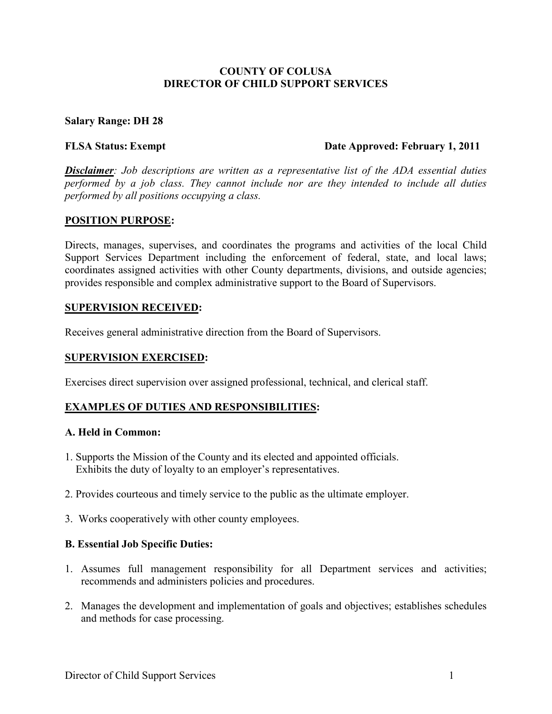## **COUNTY OF COLUSA DIRECTOR OF CHILD SUPPORT SERVICES**

### **Salary Range: DH 28**

#### **FLSA Status: Exempt Date Approved: February 1, 2011**

*Disclaimer: Job descriptions are written as a representative list of the ADA essential duties performed by a job class. They cannot include nor are they intended to include all duties performed by all positions occupying a class.* 

#### **POSITION PURPOSE:**

Directs, manages, supervises, and coordinates the programs and activities of the local Child Support Services Department including the enforcement of federal, state, and local laws; coordinates assigned activities with other County departments, divisions, and outside agencies; provides responsible and complex administrative support to the Board of Supervisors.

#### **SUPERVISION RECEIVED:**

Receives general administrative direction from the Board of Supervisors.

## **SUPERVISION EXERCISED:**

Exercises direct supervision over assigned professional, technical, and clerical staff.

## **EXAMPLES OF DUTIES AND RESPONSIBILITIES:**

### **A. Held in Common:**

- 1. Supports the Mission of the County and its elected and appointed officials. Exhibits the duty of loyalty to an employer's representatives.
- 2. Provides courteous and timely service to the public as the ultimate employer.
- 3.Works cooperatively with other county employees.

#### **B. Essential Job Specific Duties:**

- 1. Assumes full management responsibility for all Department services and activities; recommends and administers policies and procedures.
- 2. Manages the development and implementation of goals and objectives; establishes schedules and methods for case processing.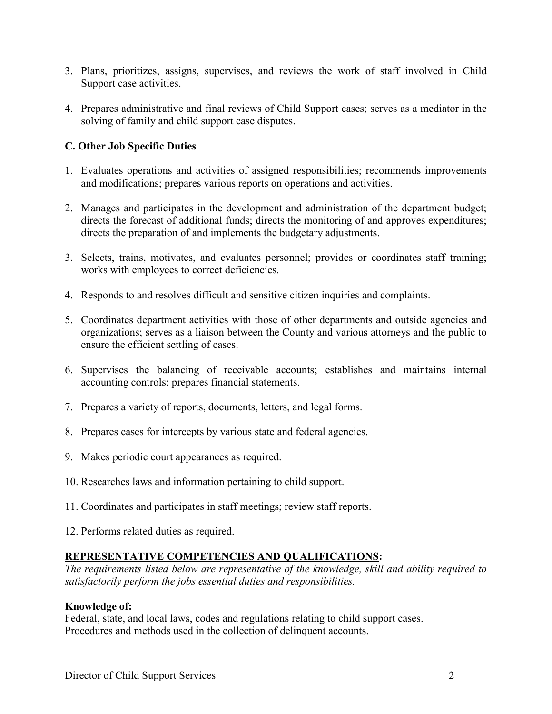- 3. Plans, prioritizes, assigns, supervises, and reviews the work of staff involved in Child Support case activities.
- 4. Prepares administrative and final reviews of Child Support cases; serves as a mediator in the solving of family and child support case disputes.

# **C. Other Job Specific Duties**

- 1. Evaluates operations and activities of assigned responsibilities; recommends improvements and modifications; prepares various reports on operations and activities.
- 2. Manages and participates in the development and administration of the department budget; directs the forecast of additional funds; directs the monitoring of and approves expenditures; directs the preparation of and implements the budgetary adjustments.
- 3. Selects, trains, motivates, and evaluates personnel; provides or coordinates staff training; works with employees to correct deficiencies.
- 4. Responds to and resolves difficult and sensitive citizen inquiries and complaints.
- 5. Coordinates department activities with those of other departments and outside agencies and organizations; serves as a liaison between the County and various attorneys and the public to ensure the efficient settling of cases.
- 6. Supervises the balancing of receivable accounts; establishes and maintains internal accounting controls; prepares financial statements.
- 7. Prepares a variety of reports, documents, letters, and legal forms.
- 8. Prepares cases for intercepts by various state and federal agencies.
- 9. Makes periodic court appearances as required.
- 10. Researches laws and information pertaining to child support.
- 11. Coordinates and participates in staff meetings; review staff reports.
- 12. Performs related duties as required.

# **REPRESENTATIVE COMPETENCIES AND QUALIFICATIONS:**

*The requirements listed below are representative of the knowledge, skill and ability required to satisfactorily perform the jobs essential duties and responsibilities.* 

# **Knowledge of:**

Federal, state, and local laws, codes and regulations relating to child support cases. Procedures and methods used in the collection of delinquent accounts.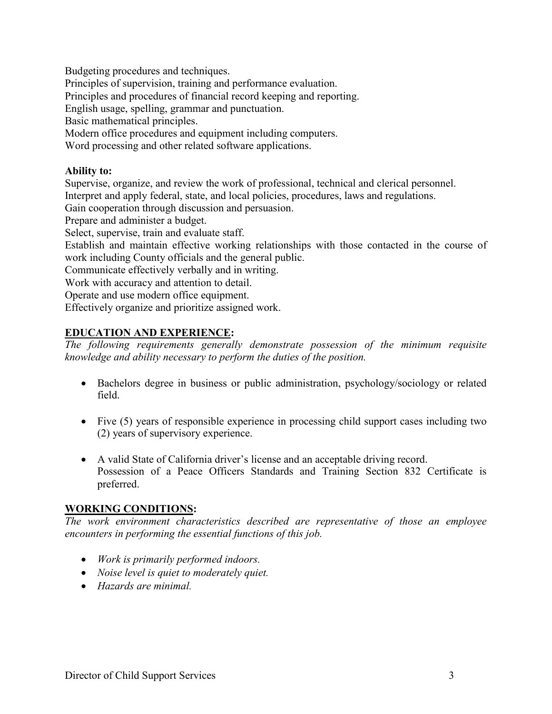Budgeting procedures and techniques.

Principles of supervision, training and performance evaluation.

Principles and procedures of financial record keeping and reporting.

English usage, spelling, grammar and punctuation.

Basic mathematical principles.

Modern office procedures and equipment including computers.

Word processing and other related software applications.

## **Ability to:**

Supervise, organize, and review the work of professional, technical and clerical personnel. Interpret and apply federal, state, and local policies, procedures, laws and regulations.

Gain cooperation through discussion and persuasion.

Prepare and administer a budget.

Select, supervise, train and evaluate staff.

Establish and maintain effective working relationships with those contacted in the course of work including County officials and the general public.

Communicate effectively verbally and in writing.

Work with accuracy and attention to detail.

Operate and use modern office equipment.

Effectively organize and prioritize assigned work.

# **EDUCATION AND EXPERIENCE:**

*The following requirements generally demonstrate possession of the minimum requisite knowledge and ability necessary to perform the duties of the position.*

- Bachelors degree in business or public administration, psychology/sociology or related field.
- Five (5) years of responsible experience in processing child support cases including two (2) years of supervisory experience.
- A valid State of California driver's license and an acceptable driving record. Possession of a Peace Officers Standards and Training Section 832 Certificate is preferred.

# **WORKING CONDITIONS:**

*The work environment characteristics described are representative of those an employee encounters in performing the essential functions of this job.* 

- *Work is primarily performed indoors.*
- *Noise level is quiet to moderately quiet.*
- *Hazards are minimal.*